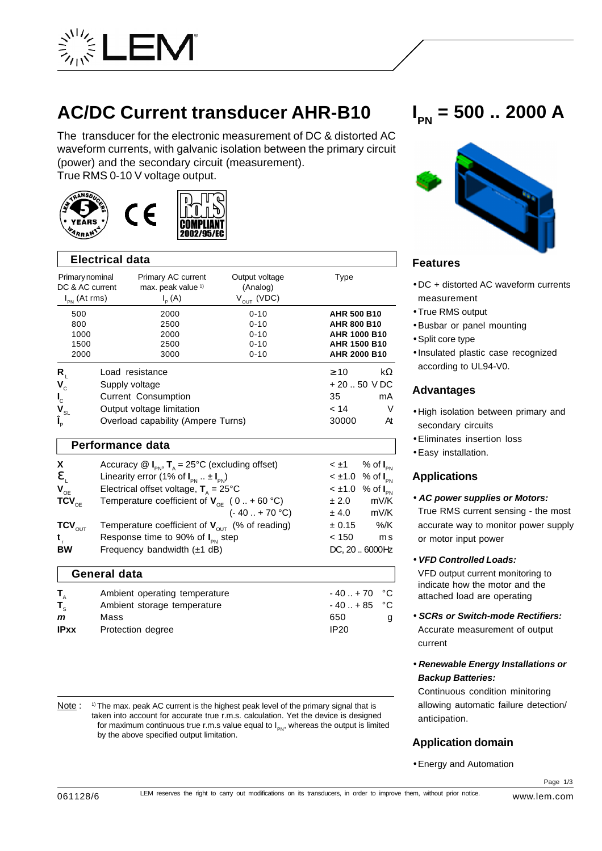

# **AC/DC Current transducer AHR-B10**

The transducer for the electronic measurement of DC & distorted AC waveform currents, with galvanic isolation between the primary circuit (power) and the secondary circuit (measurement). True RMS 0-10 V voltage output.





| <b>Electrical data</b>                                                                      |                |                                                                                                           |                                                          |                                                                                                               |                            |
|---------------------------------------------------------------------------------------------|----------------|-----------------------------------------------------------------------------------------------------------|----------------------------------------------------------|---------------------------------------------------------------------------------------------------------------|----------------------------|
| Primary nominal<br>DC & AC current<br>$I_{PN}$ (At rms)                                     |                | Primary AC current<br>max. peak value 1)<br>$I_{p}(A)$                                                    | Output voltage<br>(Analog)<br>$V_{OUT}$ (VDC)            | Type                                                                                                          |                            |
| 500<br>800<br>1000<br>1500<br>2000                                                          |                | 2000<br>2500<br>2000<br>2500<br>3000                                                                      | $0 - 10$<br>$0 - 10$<br>$0 - 10$<br>$0 - 10$<br>$0 - 10$ | <b>AHR 500 B10</b><br><b>AHR 800 B10</b><br><b>AHR 1000 B10</b><br><b>AHR 1500 B10</b><br><b>AHR 2000 B10</b> |                            |
| R.<br>$V_c$<br>$\mathbf{l}_{\rm c}$<br>$\mathbf{V}_{_{\mathrm{SL}}}$<br>$\tilde{I}_{\rm p}$ | Supply voltage | Load resistance<br>Current Consumption<br>Output voltage limitation<br>Overload capability (Ampere Turns) |                                                          | $\geq 10$<br>$+20.50$ VDC<br>35<br>< 14<br>30000                                                              | $k\Omega$<br>mA<br>V<br>At |

#### **Performance data**

| X                           | Accuracy $\circledR$ I <sub>PN</sub> , T <sub>A</sub> = 25°C (excluding offset) |        | $\lt \pm 1$ % of $I_{\text{DM}}$ |
|-----------------------------|---------------------------------------------------------------------------------|--------|----------------------------------|
| $\mathbf{e}$                | Linearity error (1% of $I_{\text{on}}$ $\pm I_{\text{on}}$ )                    |        | $<$ ±1.0 % of $I_{\text{pN}}$    |
| $V_{OE}$                    | Electrical offset voltage, $T_a = 25^{\circ}C$                                  |        | $<$ ±1.0 % of $I_{\rm PN}$       |
| $TCV_{\text{OF}}$           | Temperature coefficient of $V_{\text{OF}}$ (0 + 60 °C)                          | ± 2.0  | mV/K                             |
|                             | $(-40 + 70 °C)$                                                                 | ± 4.0  | mV/K                             |
| $\mathsf{TCV}_\mathsf{OUT}$ | Temperature coefficient of $V_{\text{out}}$ (% of reading)                      | ± 0.15 | %/K                              |
| $t_{\perp}$                 | Response time to 90% of $I_{\text{PN}}$ step                                    | < 150  | m s                              |
| BW                          | Frequency bandwidth (±1 dB)                                                     |        | DC, 20.6000Hz                    |
|                             |                                                                                 |        |                                  |

# **General data**

| $T_{\scriptscriptstyle A}$ | Ambient operating temperature | $-40. + 70$ °C   |  |
|----------------------------|-------------------------------|------------------|--|
| $T_{\rm c}$                | Ambient storage temperature   | $-40. + 85$ °C   |  |
| m                          | Mass                          | 650              |  |
| <b>IPxx</b>                | Protection degree             | IP <sub>20</sub> |  |

Note : <sup>1)</sup> The max. peak AC current is the highest peak level of the primary signal that is taken into account for accurate true r.m.s. calculation. Yet the device is designed for maximum continuous true r.m.s value equal to  $I_{\sf PN}$ , whereas the output is limited by the above specified output limitation.

# **I PN = 500 .. 2000 A**



# **Features**

- DC + distorted AC waveform currents measurement
- True RMS output
- •Busbar or panel mounting
- •Split core type
- Insulated plastic case recognized according to UL94-V0.

## **Advantages**

- High isolation between primary and secondary circuits
- •Eliminates insertion loss
- •Easy installation.

## **Applications**

• *AC power supplies or Motors:*

True RMS current sensing - the most accurate way to monitor power supply or motor input power

#### • *VFD Controlled Loads:*

VFD output current monitoring to indicate how the motor and the attached load are operating

- *SCRs or Switch-mode Rectifiers:* Accurate measurement of output current
- *Renewable Energy Installations or Backup Batteries:*

Continuous condition minitoring allowing automatic failure detection/ anticipation.

# **Application domain**

•Energy and Automation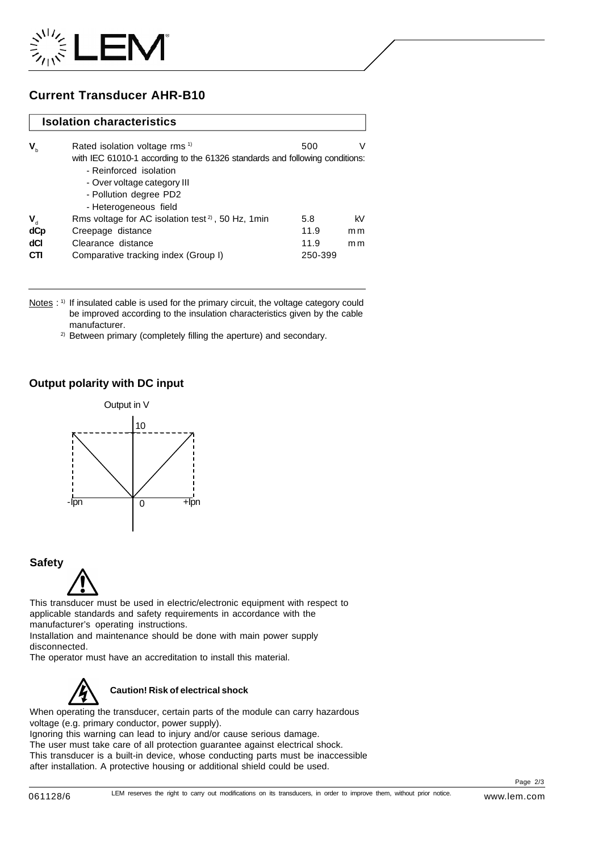

# **Current Transducer AHR-B10**

#### **Isolation characteristics**

|                  | Rated isolation voltage rms <sup>1)</sup>                                   | 500     | V   |
|------------------|-----------------------------------------------------------------------------|---------|-----|
| $V_{b}$          |                                                                             |         |     |
|                  | with IEC 61010-1 according to the 61326 standards and following conditions: |         |     |
|                  | - Reinforced isolation                                                      |         |     |
|                  | - Over voltage category III                                                 |         |     |
|                  | - Pollution degree PD2                                                      |         |     |
|                  | - Heterogeneous field                                                       |         |     |
| $\mathbf{V}_{d}$ | Rms voltage for AC isolation test <sup>2</sup> , 50 Hz, 1min                | 5.8     | kV  |
| dCp              | Creepage distance                                                           | 11.9    | m m |
| dCl              | Clearance distance                                                          | 11.9    | m m |
| <b>CTI</b>       | Comparative tracking index (Group I)                                        | 250-399 |     |

Notes : <sup>1)</sup> If insulated cable is used for the primary circuit, the voltage category could be improved according to the insulation characteristics given by the cable manufacturer.

<sup>2)</sup> Between primary (completely filling the aperture) and secondary.

#### **Output polarity with DC input**



#### **Safety**



This transducer must be used in electric/electronic equipment with respect to applicable standards and safety requirements in accordance with the manufacturer's operating instructions.

Installation and maintenance should be done with main power supply disconnected.

The operator must have an accreditation to install this material.



When operating the transducer, certain parts of the module can carry hazardous voltage (e.g. primary conductor, power supply).

Ignoring this warning can lead to injury and/or cause serious damage. The user must take care of all protection guarantee against electrical shock. This transducer is a built-in device, whose conducting parts must be inaccessible after installation. A protective housing or additional shield could be used.